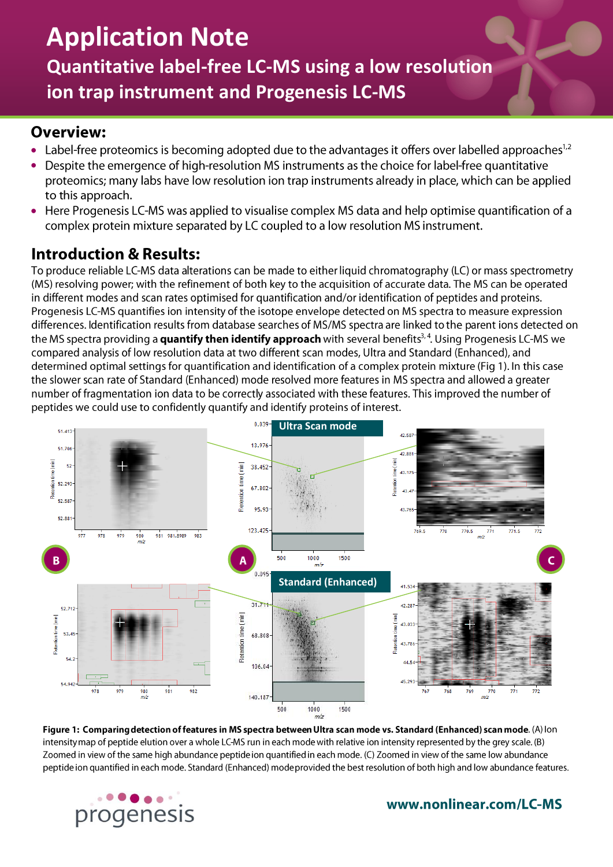# **Application Note Quantitative label-free LC-MS using a low resolution ion trap instrument and Progenesis LC-MS**

#### **Overview:**

- $\bullet$ Label-free proteomics is becoming adopted due to the advantages it offers over labelled approaches<sup>1,2</sup>
- Despite the emergence of high-resolution MS instruments as the choice for label-free quantitative  $\bullet$ proteomics; many labs have low resolution ion trap instruments already in place, which can be applied to this approach.
- Here Progenesis LC-MS was applied to visualise complex MS data and help optimise quantification of a  $\bullet$ complex protein mixture separated by LC coupled to a low resolution MS instrument.

## **Introduction & Results:**

To produce reliable LC-MS data alterations can be made to either liquid chromatography (LC) or mass spectrometry (MS) resolving power; with the refinement of both key to the acquisition of accurate data. The MS can be operated in different modes and scan rates optimised for quantification and/or identification of peptides and proteins. Progenesis LC-MS quantifies ion intensity of the isotope envelope detected on MS spectra to measure expression differences. Identification results from database searches of MS/MS spectra are linked to the parent ions detected on the MS spectra providing a quantify then identify approach with several benefits<sup>3,4</sup>. Using Progenesis LC-MS we compared analysis of low resolution data at two different scan modes, Ultra and Standard (Enhanced), and determined optimal settings for quantification and identification of a complex protein mixture (Fig 1). In this case the slower scan rate of Standard (Enhanced) mode resolved more features in MS spectra and allowed a greater number of fragmentation ion data to be correctly associated with these features. This improved the number of peptides we could use to confidently quantify and identify proteins of interest.



Figure 1: Comparing detection of features in MS spectra between Ultra scan mode vs. Standard (Enhanced) scan mode. (A) lon intensity map of peptide elution over a whole LC-MS run in each mode with relative ion intensity represented by the grey scale. (B) Zoomed in view of the same high abundance peptide ion quantified in each mode. (C) Zoomed in view of the same low abundance peptide ion quantified in each mode. Standard (Enhanced) mode provided the best resolution of both high and low abundance features.



www.nonlinear.com/LC-MS